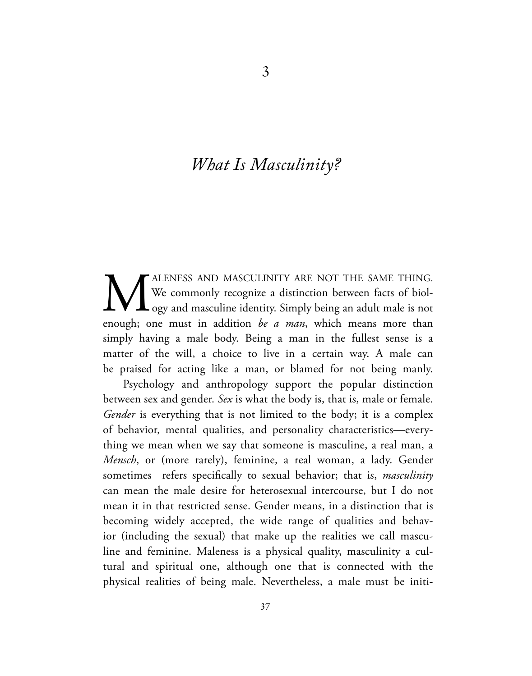# *What Is Masculinity?*

ALENESS AND MASCULINITY ARE NOT THE SAME THING. We commonly recognize a distinction between facts of biol- $\blacktriangle$  ogy and masculine identity. Simply being an adult male is not We commonly recognize a distinction between facts of biology and masculine identity. Simply being an adult male is not enough; one must in addition *be a man*, which means more than simply having a male body. Being a man in the fullest sense is a matter of the will, a choice to live in a certain way. A male can be praised for acting like a man, or blamed for not being manly.

Psychology and anthropology support the popular distinction between sex and gender. *Sex* is what the body is, that is, male or female. *Gender* is everything that is not limited to the body; it is a complex of behavior, mental qualities, and personality characteristics—everything we mean when we say that someone is masculine, a real man, a *Mensch*, or (more rarely), feminine, a real woman, a lady. Gender sometimes refers specifically to sexual behavior; that is, *masculinity* can mean the male desire for heterosexual intercourse, but I do not mean it in that restricted sense. Gender means, in a distinction that is becoming widely accepted, the wide range of qualities and behavior (including the sexual) that make up the realities we call masculine and feminine. Maleness is a physical quality, masculinity a cultural and spiritual one, although one that is connected with the physical realities of being male. Nevertheless, a male must be initi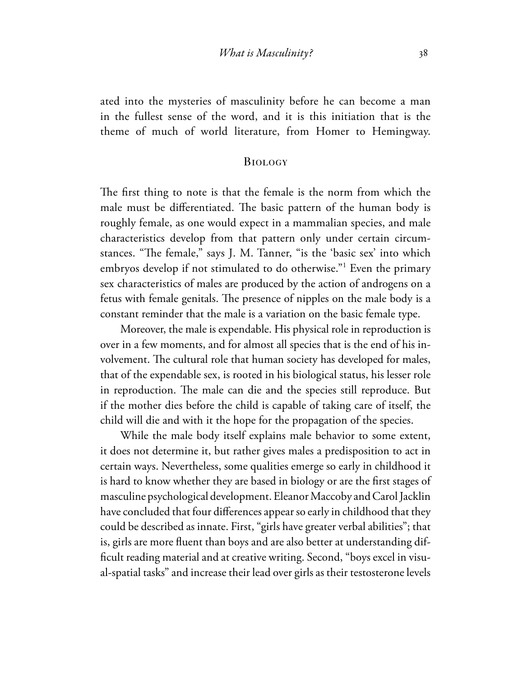ated into the mysteries of masculinity before he can become a man in the fullest sense of the word, and it is this initiation that is the theme of much of world literature, from Homer to Hemingway.

## **BIOLOGY**

The first thing to note is that the female is the norm from which the male must be differentiated. The basic pattern of the human body is roughly female, as one would expect in a mammalian species, and male characteristics develop from that pattern only under certain circumstances. "The female," says J. M. Tanner, "is the 'basic sex' into which embryos develop if not stimulated to do otherwise."<sup>1</sup> Even the primary sex characteristics of males are produced by the action of androgens on a fetus with female genitals. The presence of nipples on the male body is a constant reminder that the male is a variation on the basic female type.

Moreover, the male is expendable. His physical role in reproduction is over in a few moments, and for almost all species that is the end of his involvement. The cultural role that human society has developed for males, that of the expendable sex, is rooted in his biological status, his lesser role in reproduction. The male can die and the species still reproduce. But if the mother dies before the child is capable of taking care of itself, the child will die and with it the hope for the propagation of the species.

While the male body itself explains male behavior to some extent, it does not determine it, but rather gives males a predisposition to act in certain ways. Nevertheless, some qualities emerge so early in childhood it is hard to know whether they are based in biology or are the first stages of masculine psychological development. Eleanor Maccoby and Carol Jacklin have concluded that four differences appear so early in childhood that they could be described as innate. First, "girls have greater verbal abilities"; that is, girls are more fluent than boys and are also better at understanding difficult reading material and at creative writing. Second, "boys excel in visual-spatial tasks" and increase their lead over girls as their testosterone levels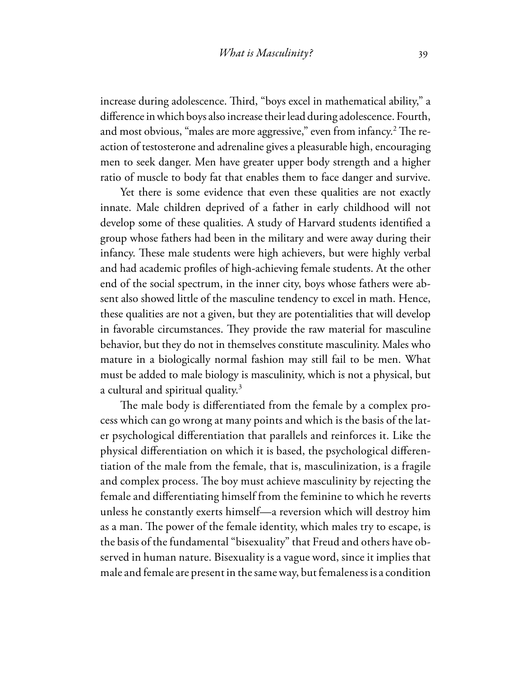increase during adolescence. Third, "boys excel in mathematical ability," a difference in which boys also increase their lead during adolescence. Fourth, and most obvious, "males are more aggressive," even from infancy. $^2$  The reaction of testosterone and adrenaline gives a pleasurable high, encouraging men to seek danger. Men have greater upper body strength and a higher ratio of muscle to body fat that enables them to face danger and survive.

Yet there is some evidence that even these qualities are not exactly innate. Male children deprived of a father in early childhood will not develop some of these qualities. A study of Harvard students identified a group whose fathers had been in the military and were away during their infancy. These male students were high achievers, but were highly verbal and had academic profiles of high-achieving female students. At the other end of the social spectrum, in the inner city, boys whose fathers were absent also showed little of the masculine tendency to excel in math. Hence, these qualities are not a given, but they are potentialities that will develop in favorable circumstances. They provide the raw material for masculine behavior, but they do not in themselves constitute masculinity. Males who mature in a biologically normal fashion may still fail to be men. What must be added to male biology is masculinity, which is not a physical, but a cultural and spiritual quality. $3$ 

The male body is differentiated from the female by a complex process which can go wrong at many points and which is the basis of the later psychological differentiation that parallels and reinforces it. Like the physical differentiation on which it is based, the psychological differentiation of the male from the female, that is, masculinization, is a fragile and complex process. The boy must achieve masculinity by rejecting the female and differentiating himself from the feminine to which he reverts unless he constantly exerts himself—a reversion which will destroy him as a man. The power of the female identity, which males try to escape, is the basis of the fundamental "bisexuality" that Freud and others have observed in human nature. Bisexuality is a vague word, since it implies that male and female are present in the same way, but femaleness is a condition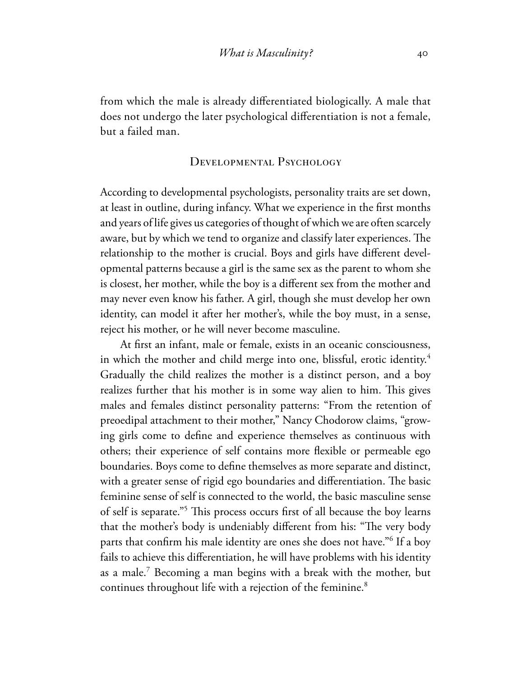from which the male is already differentiated biologically. A male that does not undergo the later psychological differentiation is not a female, but a failed man.

## Developmental Psychology

According to developmental psychologists, personality traits are set down, at least in outline, during infancy. What we experience in the first months and years of life gives us categories of thought of which we are often scarcely aware, but by which we tend to organize and classify later experiences. The relationship to the mother is crucial. Boys and girls have different developmental patterns because a girl is the same sex as the parent to whom she is closest, her mother, while the boy is a different sex from the mother and may never even know his father. A girl, though she must develop her own identity, can model it after her mother's, while the boy must, in a sense, reject his mother, or he will never become masculine.

At first an infant, male or female, exists in an oceanic consciousness, in which the mother and child merge into one, blissful, erotic identity.<sup>4</sup> Gradually the child realizes the mother is a distinct person, and a boy realizes further that his mother is in some way alien to him. This gives males and females distinct personality patterns: "From the retention of preoedipal attachment to their mother," Nancy Chodorow claims, "growing girls come to define and experience themselves as continuous with others; their experience of self contains more flexible or permeable ego boundaries. Boys come to define themselves as more separate and distinct, with a greater sense of rigid ego boundaries and differentiation. The basic feminine sense of self is connected to the world, the basic masculine sense of self is separate."5 This process occurs first of all because the boy learns that the mother's body is undeniably different from his: "The very body parts that confirm his male identity are ones she does not have."<sup>6</sup> If a boy fails to achieve this differentiation, he will have problems with his identity as a male.<sup>7</sup> Becoming a man begins with a break with the mother, but continues throughout life with a rejection of the feminine.<sup>8</sup>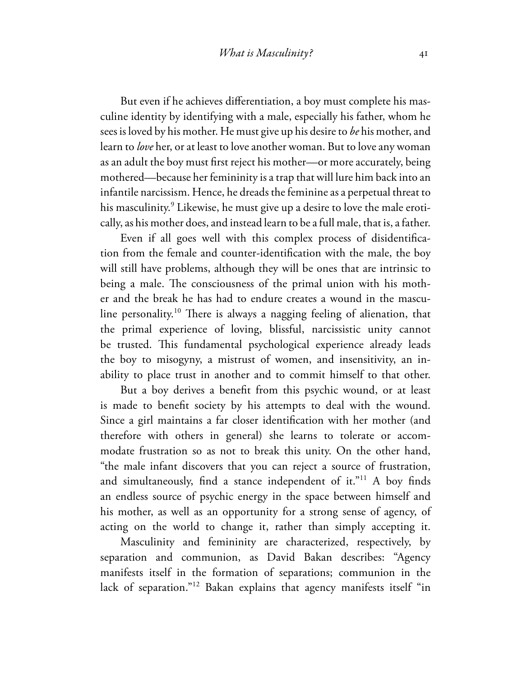But even if he achieves differentiation, a boy must complete his masculine identity by identifying with a male, especially his father, whom he sees is loved by his mother. He must give up his desire to *be* his mother, and learn to *love* her, or at least to love another woman. But to love any woman as an adult the boy must first reject his mother—or more accurately, being mothered—because her femininity is a trap that will lure him back into an infantile narcissism. Hence, he dreads the feminine as a perpetual threat to his masculinity. $^9$  Likewise, he must give up a desire to love the male erotically, as his mother does, and instead learn to be a full male, that is, a father.

Even if all goes well with this complex process of disidentification from the female and counter-identification with the male, the boy will still have problems, although they will be ones that are intrinsic to being a male. The consciousness of the primal union with his mother and the break he has had to endure creates a wound in the masculine personality.10 There is always a nagging feeling of alienation, that the primal experience of loving, blissful, narcissistic unity cannot be trusted. This fundamental psychological experience already leads the boy to misogyny, a mistrust of women, and insensitivity, an inability to place trust in another and to commit himself to that other.

But a boy derives a benefit from this psychic wound, or at least is made to benefit society by his attempts to deal with the wound. Since a girl maintains a far closer identification with her mother (and therefore with others in general) she learns to tolerate or accommodate frustration so as not to break this unity. On the other hand, "the male infant discovers that you can reject a source of frustration, and simultaneously, find a stance independent of it."<sup>11</sup> A boy finds an endless source of psychic energy in the space between himself and his mother, as well as an opportunity for a strong sense of agency, of acting on the world to change it, rather than simply accepting it.

Masculinity and femininity are characterized, respectively, by separation and communion, as David Bakan describes: "Agency manifests itself in the formation of separations; communion in the lack of separation."12 Bakan explains that agency manifests itself "in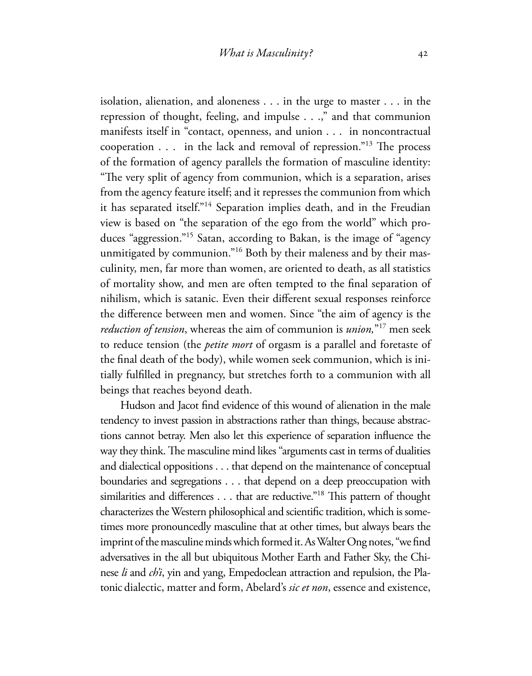isolation, alienation, and aloneness . . . in the urge to master . . . in the repression of thought, feeling, and impulse . . .," and that communion manifests itself in "contact, openness, and union . . . in noncontractual cooperation . . . in the lack and removal of repression."13 The process of the formation of agency parallels the formation of masculine identity: "The very split of agency from communion, which is a separation, arises from the agency feature itself; and it represses the communion from which it has separated itself."14 Separation implies death, and in the Freudian view is based on "the separation of the ego from the world" which produces "aggression."15 Satan, according to Bakan, is the image of "agency unmitigated by communion."<sup>16</sup> Both by their maleness and by their masculinity, men, far more than women, are oriented to death, as all statistics of mortality show, and men are often tempted to the final separation of nihilism, which is satanic. Even their different sexual responses reinforce the difference between men and women. Since "the aim of agency is the *reduction of tension*, whereas the aim of communion is *union,*"17 men seek to reduce tension (the *petite mort* of orgasm is a parallel and foretaste of the final death of the body), while women seek communion, which is initially fulfilled in pregnancy, but stretches forth to a communion with all beings that reaches beyond death.

Hudson and Jacot find evidence of this wound of alienation in the male tendency to invest passion in abstractions rather than things, because abstractions cannot betray. Men also let this experience of separation influence the way they think. The masculine mind likes "arguments cast in terms of dualities and dialectical oppositions . . . that depend on the maintenance of conceptual boundaries and segregations . . . that depend on a deep preoccupation with similarities and differences . . . that are reductive."<sup>18</sup> This pattern of thought characterizes the Western philosophical and scientific tradition, which is sometimes more pronouncedly masculine that at other times, but always bears the imprint of the masculine minds which formed it. As Walter Ong notes, "we find adversatives in the all but ubiquitous Mother Earth and Father Sky, the Chinese *li* and *ch'i*, yin and yang, Empedoclean attraction and repulsion, the Platonic dialectic, matter and form, Abelard's *sic et non*, essence and existence,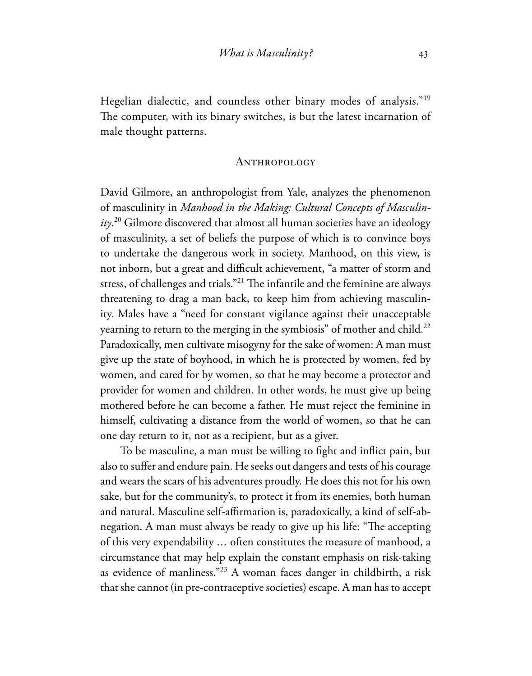Hegelian dialectic, and countless other binary modes of analysis."<sup>19</sup> The computer, with its binary switches, is but the latest incarnation of male thought patterns.

#### **ANTHROPOLOGY**

David Gilmore, an anthropologist from Yale, analyzes the phenomenon of masculinity in *Manhood in the Making: Cultural Concepts of Masculinity*. 20 Gilmore discovered that almost all human societies have an ideology of masculinity, a set of beliefs the purpose of which is to convince boys to undertake the dangerous work in society. Manhood, on this view, is not inborn, but a great and difficult achievement, "a matter of storm and stress, of challenges and trials."21 The infantile and the feminine are always threatening to drag a man back, to keep him from achieving masculinity. Males have a "need for constant vigilance against their unacceptable yearning to return to the merging in the symbiosis" of mother and child.<sup>22</sup> Paradoxically, men cultivate misogyny for the sake of women: A man must give up the state of boyhood, in which he is protected by women, fed by women, and cared for by women, so that he may become a protector and provider for women and children. In other words, he must give up being mothered before he can become a father. He must reject the feminine in himself, cultivating a distance from the world of women, so that he can one day return to it, not as a recipient, but as a giver.

To be masculine, a man must be willing to fight and inflict pain, but also to suffer and endure pain. He seeks out dangers and tests of his courage and wears the scars of his adventures proudly. He does this not for his own sake, but for the community's, to protect it from its enemies, both human and natural. Masculine self-affirmation is, paradoxically, a kind of self-abnegation. A man must always be ready to give up his life: "The accepting of this very expendability ... often constitutes the measure of manhood, a circumstance that may help explain the constant emphasis on risk-taking as evidence of manliness."23 A woman faces danger in childbirth, a risk that she cannot (in pre-contraceptive societies) escape. A man has to accept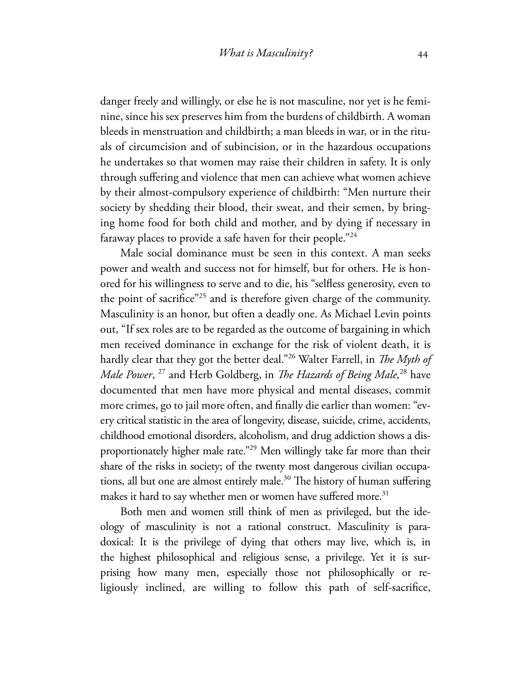danger freely and willingly, or else he is not masculine, nor yet is he feminine, since his sex preserves him from the burdens of childbirth. A woman bleeds in menstruation and childbirth; a man bleeds in war, or in the rituals of circumcision and of subincision, or in the hazardous occupations he undertakes so that women may raise their children in safety. It is only through suffering and violence that men can achieve what women achieve by their almost-compulsory experience of childbirth: "Men nurture their society by shedding their blood, their sweat, and their semen, by bringing home food for both child and mother, and by dying if necessary in faraway places to provide a safe haven for their people."24

Male social dominance must be seen in this context. A man seeks power and wealth and success not for himself, but for others. He is honored for his willingness to serve and to die, his "selfless generosity, even to the point of sacrifice"<sup>25</sup> and is therefore given charge of the community. Masculinity is an honor, but often a deadly one. As Michael Levin points out, "If sex roles are to be regarded as the outcome of bargaining in which men received dominance in exchange for the risk of violent death, it is hardly clear that they got the better deal."26 Walter Farrell, in *The Myth of Male Power*, 27 and Herb Goldberg, in *The Hazards of Being Male,*28 have documented that men have more physical and mental diseases, commit more crimes, go to jail more often, and finally die earlier than women: "every critical statistic in the area of longevity, disease, suicide, crime, accidents, childhood emotional disorders, alcoholism, and drug addiction shows a disproportionately higher male rate."29 Men willingly take far more than their share of the risks in society; of the twenty most dangerous civilian occupations, all but one are almost entirely male. $30$  The history of human suffering makes it hard to say whether men or women have suffered more.<sup>31</sup>

Both men and women still think of men as privileged, but the ideology of masculinity is not a rational construct. Masculinity is paradoxical: It is the privilege of dying that others may live, which is, in the highest philosophical and religious sense, a privilege. Yet it is surprising how many men, especially those not philosophically or religiously inclined, are willing to follow this path of self-sacrifice,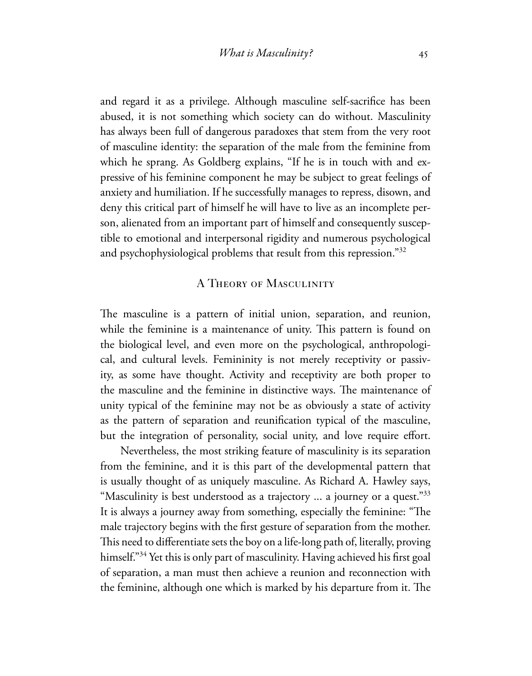and regard it as a privilege. Although masculine self-sacrifice has been abused, it is not something which society can do without. Masculinity has always been full of dangerous paradoxes that stem from the very root of masculine identity: the separation of the male from the feminine from which he sprang. As Goldberg explains, "If he is in touch with and expressive of his feminine component he may be subject to great feelings of anxiety and humiliation. If he successfully manages to repress, disown, and deny this critical part of himself he will have to live as an incomplete person, alienated from an important part of himself and consequently susceptible to emotional and interpersonal rigidity and numerous psychological and psychophysiological problems that result from this repression."<sup>32</sup>

# A Theory of Masculinity

The masculine is a pattern of initial union, separation, and reunion, while the feminine is a maintenance of unity. This pattern is found on the biological level, and even more on the psychological, anthropological, and cultural levels. Femininity is not merely receptivity or passivity, as some have thought. Activity and receptivity are both proper to the masculine and the feminine in distinctive ways. The maintenance of unity typical of the feminine may not be as obviously a state of activity as the pattern of separation and reunification typical of the masculine, but the integration of personality, social unity, and love require effort.

Nevertheless, the most striking feature of masculinity is its separation from the feminine, and it is this part of the developmental pattern that is usually thought of as uniquely masculine. As Richard A. Hawley says, "Masculinity is best understood as a trajectory ... a journey or a quest." $33$ It is always a journey away from something, especially the feminine: "The male trajectory begins with the first gesture of separation from the mother. This need to differentiate sets the boy on a life-long path of, literally, proving himself."<sup>34</sup> Yet this is only part of masculinity. Having achieved his first goal of separation, a man must then achieve a reunion and reconnection with the feminine, although one which is marked by his departure from it. The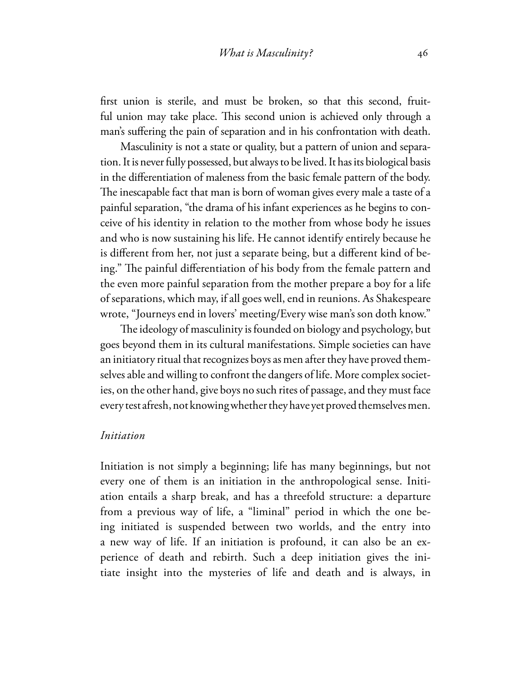first union is sterile, and must be broken, so that this second, fruitful union may take place. This second union is achieved only through a man's suffering the pain of separation and in his confrontation with death.

Masculinity is not a state or quality, but a pattern of union and separation. It is never fully possessed, but always to be lived. It has its biological basis in the differentiation of maleness from the basic female pattern of the body. The inescapable fact that man is born of woman gives every male a taste of a painful separation, "the drama of his infant experiences as he begins to conceive of his identity in relation to the mother from whose body he issues and who is now sustaining his life. He cannot identify entirely because he is different from her, not just a separate being, but a different kind of being." The painful differentiation of his body from the female pattern and the even more painful separation from the mother prepare a boy for a life of separations, which may, if all goes well, end in reunions. As Shakespeare wrote, "Journeys end in lovers' meeting/Every wise man's son doth know."

The ideology of masculinity is founded on biology and psychology, but goes beyond them in its cultural manifestations. Simple societies can have an initiatory ritual that recognizes boys as men after they have proved themselves able and willing to confront the dangers of life. More complex societies, on the other hand, give boys no such rites of passage, and they must face every test afresh, not knowing whether they have yet proved themselves men.

#### *Initiation*

Initiation is not simply a beginning; life has many beginnings, but not every one of them is an initiation in the anthropological sense. Initiation entails a sharp break, and has a threefold structure: a departure from a previous way of life, a "liminal" period in which the one being initiated is suspended between two worlds, and the entry into a new way of life. If an initiation is profound, it can also be an experience of death and rebirth. Such a deep initiation gives the initiate insight into the mysteries of life and death and is always, in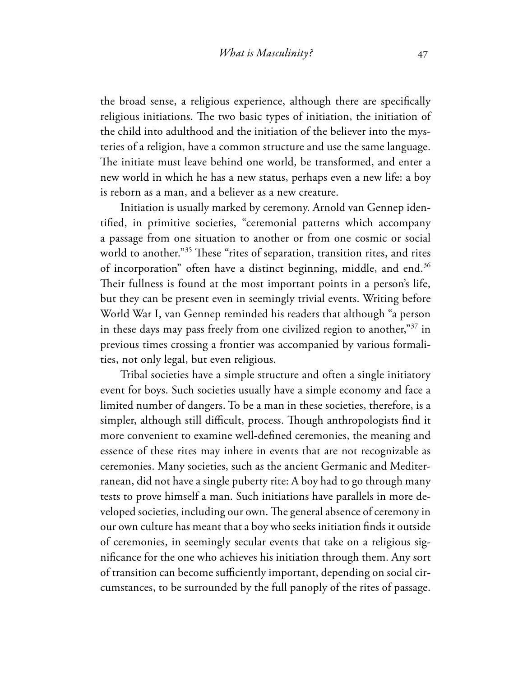the broad sense, a religious experience, although there are specifically religious initiations. The two basic types of initiation, the initiation of the child into adulthood and the initiation of the believer into the mysteries of a religion, have a common structure and use the same language. The initiate must leave behind one world, be transformed, and enter a new world in which he has a new status, perhaps even a new life: a boy is reborn as a man, and a believer as a new creature.

Initiation is usually marked by ceremony. Arnold van Gennep identified, in primitive societies, "ceremonial patterns which accompany a passage from one situation to another or from one cosmic or social world to another."<sup>35</sup> These "rites of separation, transition rites, and rites of incorporation" often have a distinct beginning, middle, and end.<sup>36</sup> Their fullness is found at the most important points in a person's life, but they can be present even in seemingly trivial events. Writing before World War I, van Gennep reminded his readers that although "a person in these days may pass freely from one civilized region to another,"37 in previous times crossing a frontier was accompanied by various formalities, not only legal, but even religious.

Tribal societies have a simple structure and often a single initiatory event for boys. Such societies usually have a simple economy and face a limited number of dangers. To be a man in these societies, therefore, is a simpler, although still difficult, process. Though anthropologists find it more convenient to examine well-defined ceremonies, the meaning and essence of these rites may inhere in events that are not recognizable as ceremonies. Many societies, such as the ancient Germanic and Mediterranean, did not have a single puberty rite: A boy had to go through many tests to prove himself a man. Such initiations have parallels in more developed societies, including our own. The general absence of ceremony in our own culture has meant that a boy who seeks initiation finds it outside of ceremonies, in seemingly secular events that take on a religious significance for the one who achieves his initiation through them. Any sort of transition can become sufficiently important, depending on social circumstances, to be surrounded by the full panoply of the rites of passage.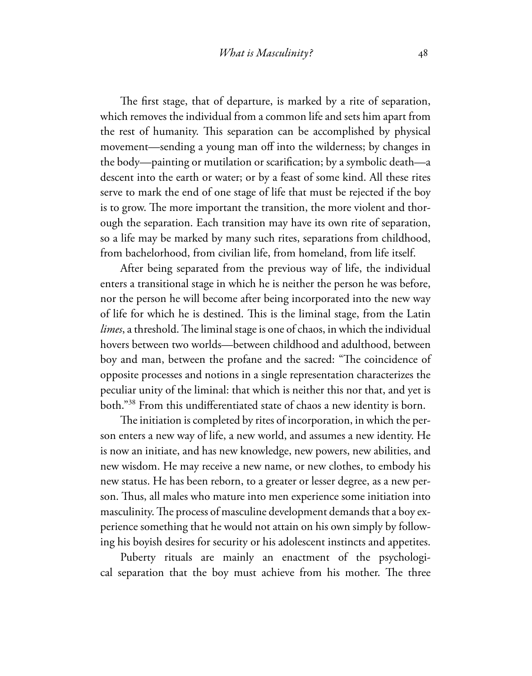The first stage, that of departure, is marked by a rite of separation, which removes the individual from a common life and sets him apart from the rest of humanity. This separation can be accomplished by physical movement—sending a young man off into the wilderness; by changes in the body—painting or mutilation or scarification; by a symbolic death—a descent into the earth or water; or by a feast of some kind. All these rites serve to mark the end of one stage of life that must be rejected if the boy is to grow. The more important the transition, the more violent and thorough the separation. Each transition may have its own rite of separation, so a life may be marked by many such rites, separations from childhood, from bachelorhood, from civilian life, from homeland, from life itself.

After being separated from the previous way of life, the individual enters a transitional stage in which he is neither the person he was before, nor the person he will become after being incorporated into the new way of life for which he is destined. This is the liminal stage, from the Latin *limes*, a threshold. The liminal stage is one of chaos, in which the individual hovers between two worlds—between childhood and adulthood, between boy and man, between the profane and the sacred: "The coincidence of opposite processes and notions in a single representation characterizes the peculiar unity of the liminal: that which is neither this nor that, and yet is both."38 From this undifferentiated state of chaos a new identity is born.

The initiation is completed by rites of incorporation, in which the person enters a new way of life, a new world, and assumes a new identity. He is now an initiate, and has new knowledge, new powers, new abilities, and new wisdom. He may receive a new name, or new clothes, to embody his new status. He has been reborn, to a greater or lesser degree, as a new person. Thus, all males who mature into men experience some initiation into masculinity. The process of masculine development demands that a boy experience something that he would not attain on his own simply by following his boyish desires for security or his adolescent instincts and appetites.

Puberty rituals are mainly an enactment of the psychological separation that the boy must achieve from his mother. The three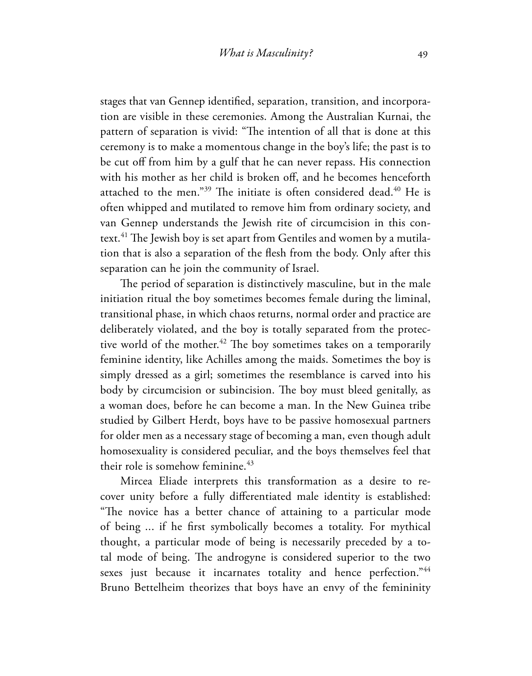stages that van Gennep identified, separation, transition, and incorporation are visible in these ceremonies. Among the Australian Kurnai, the pattern of separation is vivid: "The intention of all that is done at this ceremony is to make a momentous change in the boy's life; the past is to be cut off from him by a gulf that he can never repass. His connection with his mother as her child is broken off, and he becomes henceforth attached to the men."<sup>39</sup> The initiate is often considered dead.<sup>40</sup> He is often whipped and mutilated to remove him from ordinary society, and van Gennep understands the Jewish rite of circumcision in this context.41 The Jewish boy is set apart from Gentiles and women by a mutilation that is also a separation of the flesh from the body. Only after this separation can he join the community of Israel.

The period of separation is distinctively masculine, but in the male initiation ritual the boy sometimes becomes female during the liminal, transitional phase, in which chaos returns, normal order and practice are deliberately violated, and the boy is totally separated from the protective world of the mother.<sup>42</sup> The boy sometimes takes on a temporarily feminine identity, like Achilles among the maids. Sometimes the boy is simply dressed as a girl; sometimes the resemblance is carved into his body by circumcision or subincision. The boy must bleed genitally, as a woman does, before he can become a man. In the New Guinea tribe studied by Gilbert Herdt, boys have to be passive homosexual partners for older men as a necessary stage of becoming a man, even though adult homosexuality is considered peculiar, and the boys themselves feel that their role is somehow feminine. $43$ 

Mircea Eliade interprets this transformation as a desire to recover unity before a fully differentiated male identity is established: "The novice has a better chance of attaining to a particular mode of being ... if he first symbolically becomes a totality. For mythical thought, a particular mode of being is necessarily preceded by a total mode of being. The androgyne is considered superior to the two sexes just because it incarnates totality and hence perfection."44 Bruno Bettelheim theorizes that boys have an envy of the femininity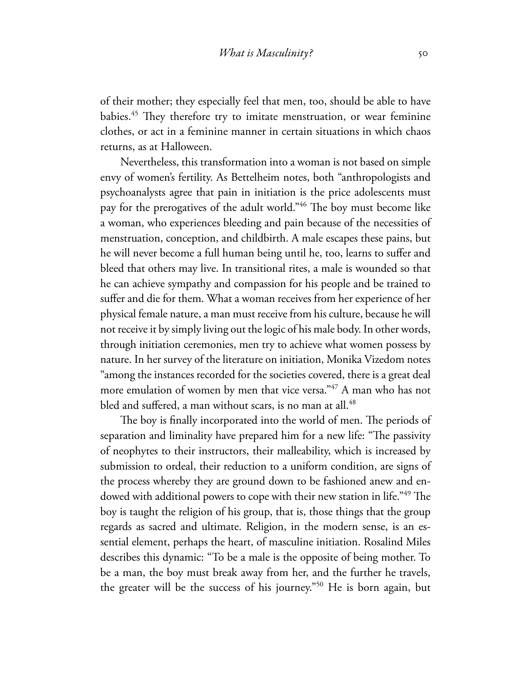of their mother; they especially feel that men, too, should be able to have babies.45 They therefore try to imitate menstruation, or wear feminine clothes, or act in a feminine manner in certain situations in which chaos returns, as at Halloween.

Nevertheless, this transformation into a woman is not based on simple envy of women's fertility. As Bettelheim notes, both "anthropologists and psychoanalysts agree that pain in initiation is the price adolescents must pay for the prerogatives of the adult world."46 The boy must become like a woman, who experiences bleeding and pain because of the necessities of menstruation, conception, and childbirth. A male escapes these pains, but he will never become a full human being until he, too, learns to suffer and bleed that others may live. In transitional rites, a male is wounded so that he can achieve sympathy and compassion for his people and be trained to suffer and die for them. What a woman receives from her experience of her physical female nature, a man must receive from his culture, because he will not receive it by simply living out the logic of his male body. In other words, through initiation ceremonies, men try to achieve what women possess by nature. In her survey of the literature on initiation, Monika Vizedom notes "among the instances recorded for the societies covered, there is a great deal more emulation of women by men that vice versa."47 A man who has not bled and suffered, a man without scars, is no man at all.<sup>48</sup>

The boy is finally incorporated into the world of men. The periods of separation and liminality have prepared him for a new life: "The passivity of neophytes to their instructors, their malleability, which is increased by submission to ordeal, their reduction to a uniform condition, are signs of the process whereby they are ground down to be fashioned anew and endowed with additional powers to cope with their new station in life."<sup>49</sup> The boy is taught the religion of his group, that is, those things that the group regards as sacred and ultimate. Religion, in the modern sense, is an essential element, perhaps the heart, of masculine initiation. Rosalind Miles describes this dynamic: "To be a male is the opposite of being mother. To be a man, the boy must break away from her, and the further he travels, the greater will be the success of his journey."50 He is born again, but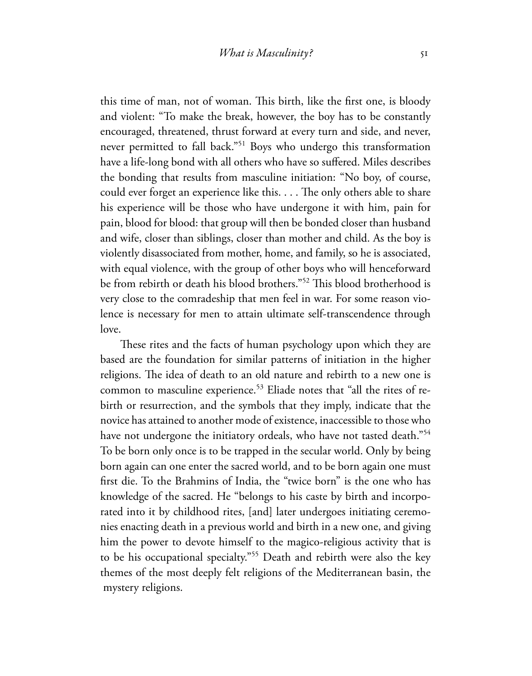this time of man, not of woman. This birth, like the first one, is bloody and violent: "To make the break, however, the boy has to be constantly encouraged, threatened, thrust forward at every turn and side, and never, never permitted to fall back."51 Boys who undergo this transformation have a life-long bond with all others who have so suffered. Miles describes the bonding that results from masculine initiation: "No boy, of course, could ever forget an experience like this. . . . The only others able to share his experience will be those who have undergone it with him, pain for pain, blood for blood: that group will then be bonded closer than husband and wife, closer than siblings, closer than mother and child. As the boy is violently disassociated from mother, home, and family, so he is associated, with equal violence, with the group of other boys who will henceforward be from rebirth or death his blood brothers."52 This blood brotherhood is very close to the comradeship that men feel in war. For some reason violence is necessary for men to attain ultimate self-transcendence through love.

These rites and the facts of human psychology upon which they are based are the foundation for similar patterns of initiation in the higher religions. The idea of death to an old nature and rebirth to a new one is common to masculine experience.<sup>53</sup> Eliade notes that "all the rites of rebirth or resurrection, and the symbols that they imply, indicate that the novice has attained to another mode of existence, inaccessible to those who have not undergone the initiatory ordeals, who have not tasted death."<sup>54</sup> To be born only once is to be trapped in the secular world. Only by being born again can one enter the sacred world, and to be born again one must first die. To the Brahmins of India, the "twice born" is the one who has knowledge of the sacred. He "belongs to his caste by birth and incorporated into it by childhood rites, [and] later undergoes initiating ceremonies enacting death in a previous world and birth in a new one, and giving him the power to devote himself to the magico-religious activity that is to be his occupational specialty."55 Death and rebirth were also the key themes of the most deeply felt religions of the Mediterranean basin, the mystery religions.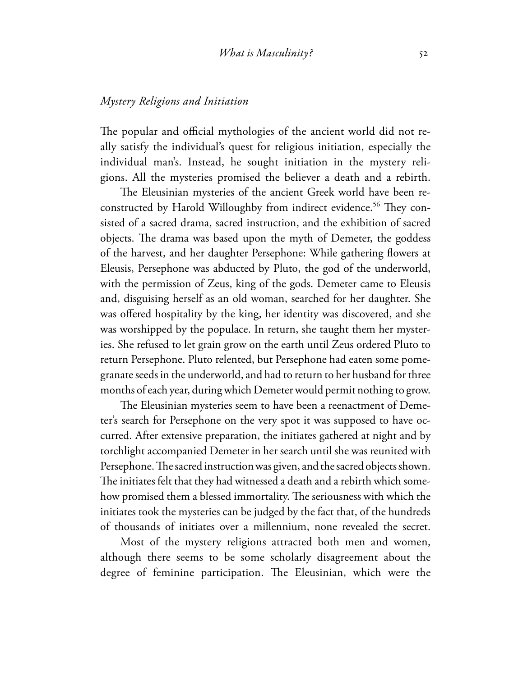# *Mystery Religions and Initiation*

The popular and official mythologies of the ancient world did not really satisfy the individual's quest for religious initiation, especially the individual man's. Instead, he sought initiation in the mystery religions. All the mysteries promised the believer a death and a rebirth.

The Eleusinian mysteries of the ancient Greek world have been reconstructed by Harold Willoughby from indirect evidence.<sup>56</sup> They consisted of a sacred drama, sacred instruction, and the exhibition of sacred objects. The drama was based upon the myth of Demeter, the goddess of the harvest, and her daughter Persephone: While gathering flowers at Eleusis, Persephone was abducted by Pluto, the god of the underworld, with the permission of Zeus, king of the gods. Demeter came to Eleusis and, disguising herself as an old woman, searched for her daughter. She was offered hospitality by the king, her identity was discovered, and she was worshipped by the populace. In return, she taught them her mysteries. She refused to let grain grow on the earth until Zeus ordered Pluto to return Persephone. Pluto relented, but Persephone had eaten some pomegranate seeds in the underworld, and had to return to her husband for three months of each year, during which Demeter would permit nothing to grow.

The Eleusinian mysteries seem to have been a reenactment of Demeter's search for Persephone on the very spot it was supposed to have occurred. After extensive preparation, the initiates gathered at night and by torchlight accompanied Demeter in her search until she was reunited with Persephone. The sacred instruction was given, and the sacred objects shown. The initiates felt that they had witnessed a death and a rebirth which somehow promised them a blessed immortality. The seriousness with which the initiates took the mysteries can be judged by the fact that, of the hundreds of thousands of initiates over a millennium, none revealed the secret.

Most of the mystery religions attracted both men and women, although there seems to be some scholarly disagreement about the degree of feminine participation. The Eleusinian, which were the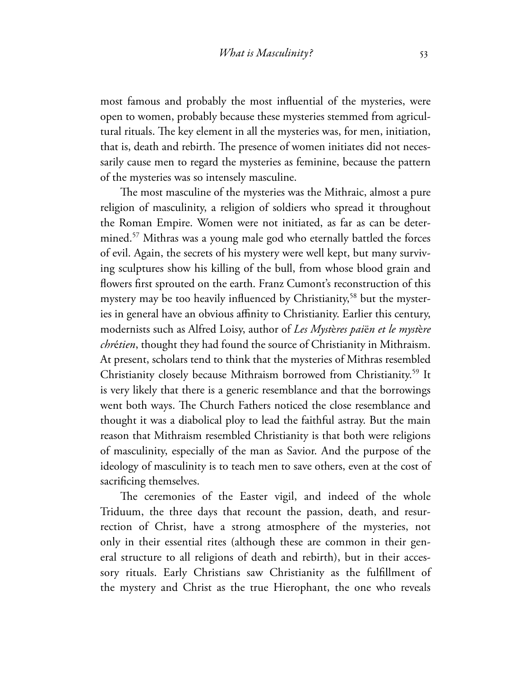most famous and probably the most influential of the mysteries, were open to women, probably because these mysteries stemmed from agricultural rituals. The key element in all the mysteries was, for men, initiation, that is, death and rebirth. The presence of women initiates did not necessarily cause men to regard the mysteries as feminine, because the pattern of the mysteries was so intensely masculine.

The most masculine of the mysteries was the Mithraic, almost a pure religion of masculinity, a religion of soldiers who spread it throughout the Roman Empire. Women were not initiated, as far as can be determined.<sup>57</sup> Mithras was a young male god who eternally battled the forces of evil. Again, the secrets of his mystery were well kept, but many surviving sculptures show his killing of the bull, from whose blood grain and flowers first sprouted on the earth. Franz Cumont's reconstruction of this mystery may be too heavily influenced by Christianity,<sup>58</sup> but the mysteries in general have an obvious affinity to Christianity. Earlier this century, modernists such as Alfred Loisy, author of *Les Myst*è*res pai*ë*n et le myst*è*re chr*é*tien*, thought they had found the source of Christianity in Mithraism. At present, scholars tend to think that the mysteries of Mithras resembled Christianity closely because Mithraism borrowed from Christianity.<sup>59</sup> It is very likely that there is a generic resemblance and that the borrowings went both ways. The Church Fathers noticed the close resemblance and thought it was a diabolical ploy to lead the faithful astray. But the main reason that Mithraism resembled Christianity is that both were religions of masculinity, especially of the man as Savior. And the purpose of the ideology of masculinity is to teach men to save others, even at the cost of sacrificing themselves.

The ceremonies of the Easter vigil, and indeed of the whole Triduum, the three days that recount the passion, death, and resurrection of Christ, have a strong atmosphere of the mysteries, not only in their essential rites (although these are common in their general structure to all religions of death and rebirth), but in their accessory rituals. Early Christians saw Christianity as the fulfillment of the mystery and Christ as the true Hierophant, the one who reveals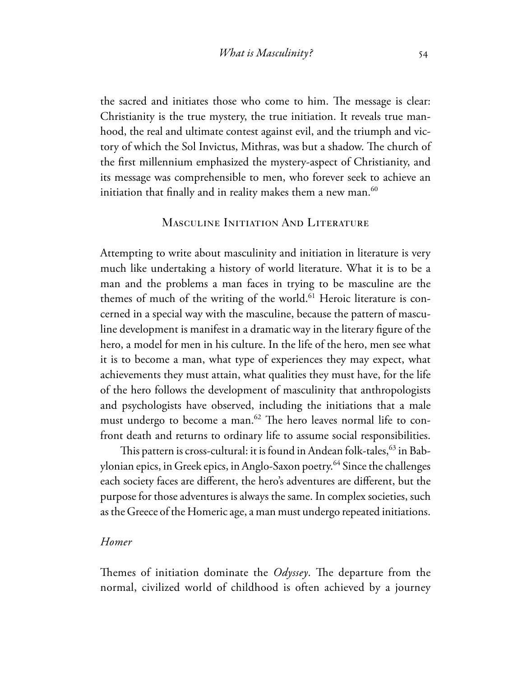the sacred and initiates those who come to him. The message is clear: Christianity is the true mystery, the true initiation. It reveals true manhood, the real and ultimate contest against evil, and the triumph and victory of which the Sol Invictus, Mithras, was but a shadow. The church of the first millennium emphasized the mystery-aspect of Christianity, and its message was comprehensible to men, who forever seek to achieve an initiation that finally and in reality makes them a new man. $60$ 

# Masculine Initiation And Literature

Attempting to write about masculinity and initiation in literature is very much like undertaking a history of world literature. What it is to be a man and the problems a man faces in trying to be masculine are the themes of much of the writing of the world.<sup>61</sup> Heroic literature is concerned in a special way with the masculine, because the pattern of masculine development is manifest in a dramatic way in the literary figure of the hero, a model for men in his culture. In the life of the hero, men see what it is to become a man, what type of experiences they may expect, what achievements they must attain, what qualities they must have, for the life of the hero follows the development of masculinity that anthropologists and psychologists have observed, including the initiations that a male must undergo to become a man.<sup>62</sup> The hero leaves normal life to confront death and returns to ordinary life to assume social responsibilities.

This pattern is cross-cultural: it is found in Andean folk-tales,<sup>63</sup> in Babylonian epics, in Greek epics, in Anglo-Saxon poetry.<sup>64</sup> Since the challenges each society faces are different, the hero's adventures are different, but the purpose for those adventures is always the same. In complex societies, such as the Greece of the Homeric age, a man must undergo repeated initiations.

#### *Homer*

Themes of initiation dominate the *Odyssey*. The departure from the normal, civilized world of childhood is often achieved by a journey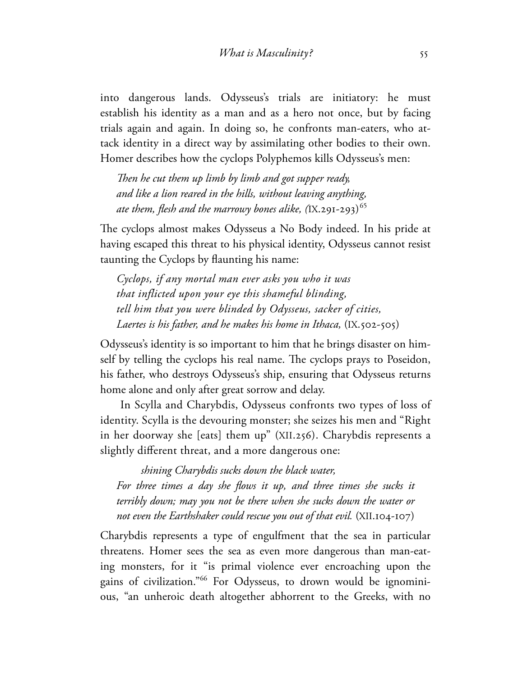into dangerous lands. Odysseus's trials are initiatory: he must establish his identity as a man and as a hero not once, but by facing trials again and again. In doing so, he confronts man-eaters, who attack identity in a direct way by assimilating other bodies to their own. Homer describes how the cyclops Polyphemos kills Odysseus's men:

*Then he cut them up limb by limb and got supper ready, and like a lion reared in the hills, without leaving anything,* ate them, flesh and the marrowy bones alike, (IX.291-293)<sup>65</sup>

The cyclops almost makes Odysseus a No Body indeed. In his pride at having escaped this threat to his physical identity, Odysseus cannot resist taunting the Cyclops by flaunting his name:

*Cyclops, if any mortal man ever asks you who it was that inflicted upon your eye this shameful blinding, tell him that you were blinded by Odysseus, sacker of cities,* Laertes is his father, and he makes his home in Ithaca, (IX.502-505)

Odysseus's identity is so important to him that he brings disaster on himself by telling the cyclops his real name. The cyclops prays to Poseidon, his father, who destroys Odysseus's ship, ensuring that Odysseus returns home alone and only after great sorrow and delay.

In Scylla and Charybdis, Odysseus confronts two types of loss of identity. Scylla is the devouring monster; she seizes his men and "Right in her doorway she [eats] them up" (XII.256). Charybdis represents a slightly different threat, and a more dangerous one:

 *shining Charybdis sucks down the black water, For three times a day she flows it up, and three times she sucks it terribly down; may you not be there when she sucks down the water or not even the Earthshaker could rescue you out of that evil.* (XII.104-107)

Charybdis represents a type of engulfment that the sea in particular threatens. Homer sees the sea as even more dangerous than man-eating monsters, for it "is primal violence ever encroaching upon the gains of civilization."66 For Odysseus, to drown would be ignominious, "an unheroic death altogether abhorrent to the Greeks, with no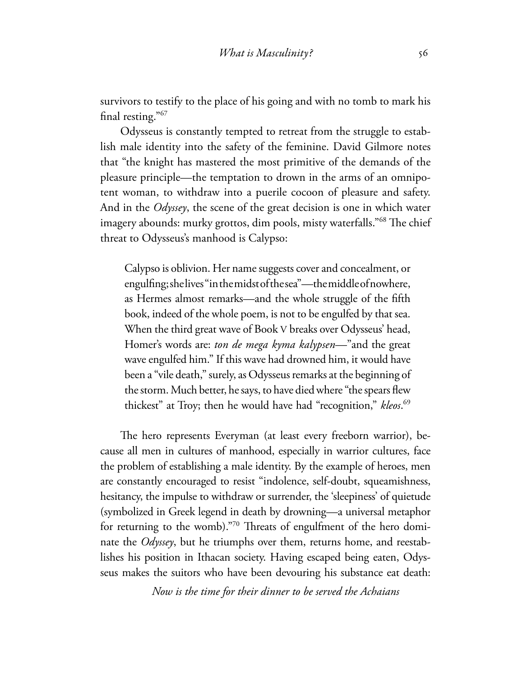survivors to testify to the place of his going and with no tomb to mark his final resting." $67$ 

Odysseus is constantly tempted to retreat from the struggle to establish male identity into the safety of the feminine. David Gilmore notes that "the knight has mastered the most primitive of the demands of the pleasure principle—the temptation to drown in the arms of an omnipotent woman, to withdraw into a puerile cocoon of pleasure and safety. And in the *Odyssey*, the scene of the great decision is one in which water imagery abounds: murky grottos, dim pools, misty waterfalls."68 The chief threat to Odysseus's manhood is Calypso:

Calypso is oblivion. Her name suggests cover and concealment, or engulfing; she lives "in the midst of the sea"—the middle of nowhere, as Hermes almost remarks—and the whole struggle of the fifth book, indeed of the whole poem, is not to be engulfed by that sea. When the third great wave of Book V breaks over Odysseus' head, Homer's words are: *ton de mega kyma kalypsen*—"and the great wave engulfed him." If this wave had drowned him, it would have been a "vile death," surely, as Odysseus remarks at the beginning of the storm. Much better, he says, to have died where "the spears flew thickest" at Troy; then he would have had "recognition," *kleos*. 69

The hero represents Everyman (at least every freeborn warrior), because all men in cultures of manhood, especially in warrior cultures, face the problem of establishing a male identity. By the example of heroes, men are constantly encouraged to resist "indolence, self-doubt, squeamishness, hesitancy, the impulse to withdraw or surrender, the 'sleepiness' of quietude (symbolized in Greek legend in death by drowning—a universal metaphor for returning to the womb)."70 Threats of engulfment of the hero dominate the *Odyssey*, but he triumphs over them, returns home, and reestablishes his position in Ithacan society. Having escaped being eaten, Odysseus makes the suitors who have been devouring his substance eat death:

*Now is the time for their dinner to be served the Achaians*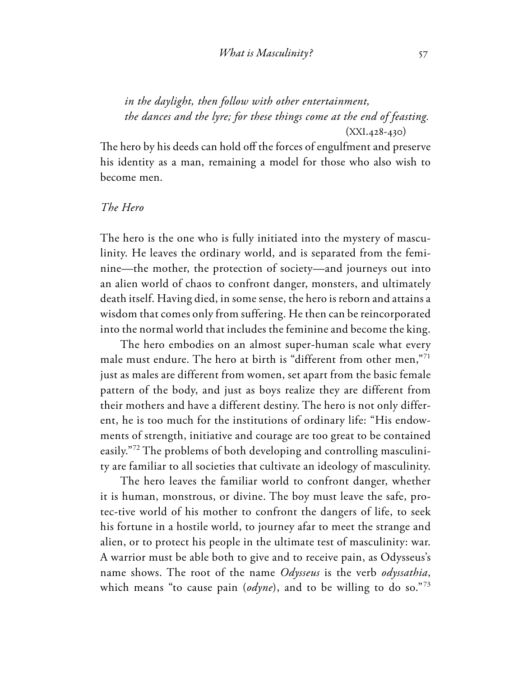*in the daylight, then follow with other entertainment, the dances and the lyre; for these things come at the end of feasting.* (XXI.428-430)

The hero by his deeds can hold off the forces of engulfment and preserve his identity as a man, remaining a model for those who also wish to become men.

## *The Hero*

The hero is the one who is fully initiated into the mystery of masculinity. He leaves the ordinary world, and is separated from the feminine—the mother, the protection of society—and journeys out into an alien world of chaos to confront danger, monsters, and ultimately death itself. Having died, in some sense, the hero is reborn and attains a wisdom that comes only from suffering. He then can be reincorporated into the normal world that includes the feminine and become the king.

The hero embodies on an almost super-human scale what every male must endure. The hero at birth is "different from other men,"<sup>71</sup> just as males are different from women, set apart from the basic female pattern of the body, and just as boys realize they are different from their mothers and have a different destiny. The hero is not only different, he is too much for the institutions of ordinary life: "His endowments of strength, initiative and courage are too great to be contained easily."72 The problems of both developing and controlling masculinity are familiar to all societies that cultivate an ideology of masculinity.

The hero leaves the familiar world to confront danger, whether it is human, monstrous, or divine. The boy must leave the safe, protec-tive world of his mother to confront the dangers of life, to seek his fortune in a hostile world, to journey afar to meet the strange and alien, or to protect his people in the ultimate test of masculinity: war. A warrior must be able both to give and to receive pain, as Odysseus's name shows. The root of the name *Odysseus* is the verb *odyssathia*, which means "to cause pain (*odyne*), and to be willing to do so."<sup>73</sup>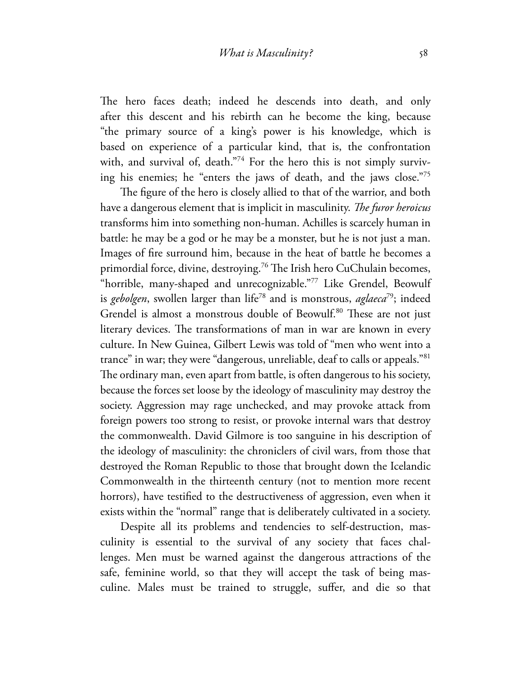The hero faces death; indeed he descends into death, and only after this descent and his rebirth can he become the king, because "the primary source of a king's power is his knowledge, which is based on experience of a particular kind, that is, the confrontation with, and survival of, death."<sup>74</sup> For the hero this is not simply surviving his enemies; he "enters the jaws of death, and the jaws close."75

The figure of the hero is closely allied to that of the warrior, and both have a dangerous element that is implicit in masculinity. *The furor heroicus* transforms him into something non-human. Achilles is scarcely human in battle: he may be a god or he may be a monster, but he is not just a man. Images of fire surround him, because in the heat of battle he becomes a primordial force, divine, destroying.<sup>76</sup> The Irish hero CuChulain becomes, "horrible, many-shaped and unrecognizable."77 Like Grendel, Beowulf is *gebolgen*, swollen larger than life<sup>78</sup> and is monstrous, *aglaeca*<sup>79</sup>; indeed Grendel is almost a monstrous double of Beowulf.<sup>80</sup> These are not just literary devices. The transformations of man in war are known in every culture. In New Guinea, Gilbert Lewis was told of "men who went into a trance" in war; they were "dangerous, unreliable, deaf to calls or appeals."81 The ordinary man, even apart from battle, is often dangerous to his society, because the forces set loose by the ideology of masculinity may destroy the society. Aggression may rage unchecked, and may provoke attack from foreign powers too strong to resist, or provoke internal wars that destroy the commonwealth. David Gilmore is too sanguine in his description of the ideology of masculinity: the chroniclers of civil wars, from those that destroyed the Roman Republic to those that brought down the Icelandic Commonwealth in the thirteenth century (not to mention more recent horrors), have testified to the destructiveness of aggression, even when it exists within the "normal" range that is deliberately cultivated in a society.

Despite all its problems and tendencies to self-destruction, masculinity is essential to the survival of any society that faces challenges. Men must be warned against the dangerous attractions of the safe, feminine world, so that they will accept the task of being masculine. Males must be trained to struggle, suffer, and die so that